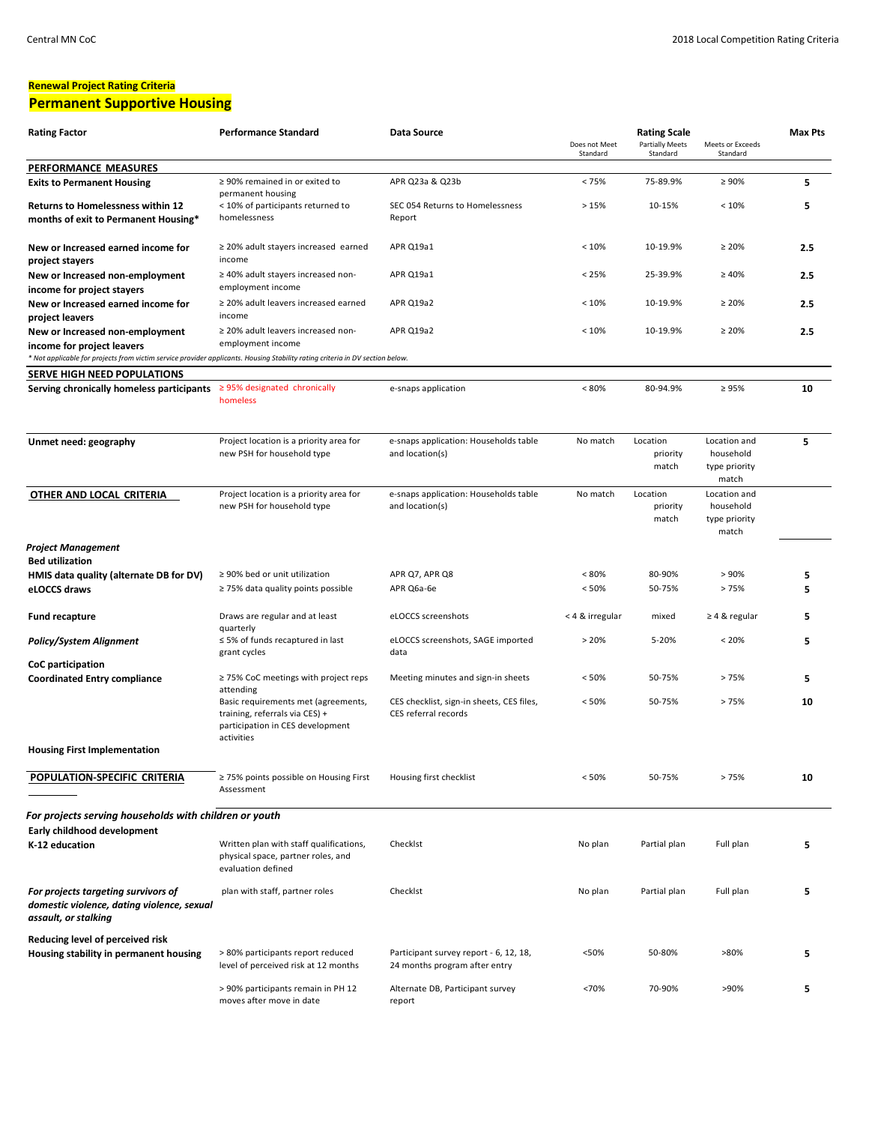#### **Renewal Project Rating Criteria Permanent Supportive Housing**

| <b>Rating Factor</b>                                                                                                                                                                           | <b>Performance Standard</b>                                                                                             | Data Source                                                             |                           | <b>Rating Scale</b>                |                                                     | <b>Max Pts</b> |
|------------------------------------------------------------------------------------------------------------------------------------------------------------------------------------------------|-------------------------------------------------------------------------------------------------------------------------|-------------------------------------------------------------------------|---------------------------|------------------------------------|-----------------------------------------------------|----------------|
|                                                                                                                                                                                                |                                                                                                                         |                                                                         | Does not Meet<br>Standard | <b>Partially Meets</b><br>Standard | Meets or Exceeds<br>Standard                        |                |
| PERFORMANCE MEASURES                                                                                                                                                                           |                                                                                                                         |                                                                         |                           |                                    |                                                     |                |
| <b>Exits to Permanent Housing</b>                                                                                                                                                              | $\geq$ 90% remained in or exited to<br>permanent housing                                                                | APR Q23a & Q23b                                                         | < 75%                     | 75-89.9%                           | $\geq 90\%$                                         | 5              |
| <b>Returns to Homelessness within 12</b><br>months of exit to Permanent Housing*                                                                                                               | < 10% of participants returned to<br>homelessness                                                                       | SEC 054 Returns to Homelessness<br>Report                               | >15%                      | 10-15%                             | < 10%                                               | 5              |
| New or Increased earned income for<br>project stayers                                                                                                                                          | $\geq$ 20% adult stayers increased earned<br>income                                                                     | APR Q19a1                                                               | < 10%                     | 10-19.9%                           | $\geq 20\%$                                         | 2.5            |
| New or Increased non-employment<br>income for project stayers                                                                                                                                  | ≥ 40% adult stayers increased non-<br>employment income                                                                 | APR Q19a1                                                               | < 25%                     | 25-39.9%                           | $\geq 40\%$                                         | 2.5            |
| New or Increased earned income for<br>project leavers                                                                                                                                          | $\geq$ 20% adult leavers increased earned<br>income                                                                     | APR Q19a2                                                               | < 10%                     | 10-19.9%                           | $\geq 20\%$                                         | 2.5            |
| New or Increased non-employment<br>income for project leavers<br>* Not applicable for projects from victim service provider applicants. Housing Stability rating criteria in DV section below. | ≥ 20% adult leavers increased non-<br>employment income                                                                 | APR Q19a2                                                               | < 10%                     | 10-19.9%                           | $\geq 20\%$                                         | 2.5            |
| SERVE HIGH NEED POPULATIONS                                                                                                                                                                    |                                                                                                                         |                                                                         |                           |                                    |                                                     |                |
| Serving chronically homeless participants $\geq$ 95% designated chronically                                                                                                                    | homeless                                                                                                                | e-snaps application                                                     | $< 80\%$                  | 80-94.9%                           | $\geq 95\%$                                         | 10             |
| Unmet need: geography                                                                                                                                                                          | Project location is a priority area for<br>new PSH for household type                                                   | e-snaps application: Households table<br>and location(s)                | No match                  | Location<br>priority<br>match      | Location and<br>household<br>type priority<br>match | 5              |
| OTHER AND LOCAL CRITERIA                                                                                                                                                                       | Project location is a priority area for<br>new PSH for household type                                                   | e-snaps application: Households table<br>and location(s)                | No match                  | Location<br>priority<br>match      | Location and<br>household<br>type priority<br>match |                |
| <b>Project Management</b><br><b>Bed utilization</b>                                                                                                                                            |                                                                                                                         |                                                                         |                           |                                    |                                                     |                |
| HMIS data quality (alternate DB for DV)                                                                                                                                                        | $\geq$ 90% bed or unit utilization                                                                                      | APR Q7, APR Q8                                                          | $< 80\%$                  | 80-90%                             | > 90%                                               | 5              |
| eLOCCS draws                                                                                                                                                                                   | $\geq$ 75% data quality points possible                                                                                 | APR Q6a-6e                                                              | < 50%                     | 50-75%                             | >75%                                                | 5              |
| <b>Fund recapture</b>                                                                                                                                                                          | Draws are regular and at least<br>quarterly                                                                             | eLOCCS screenshots                                                      | < 4 & irregular           | mixed                              | $\geq 4$ & regular                                  | 5              |
| <b>Policy/System Alignment</b>                                                                                                                                                                 | $\leq$ 5% of funds recaptured in last<br>grant cycles                                                                   | eLOCCS screenshots, SAGE imported<br>data                               | >20%                      | 5-20%                              | < 20%                                               | 5              |
| CoC participation<br><b>Coordinated Entry compliance</b>                                                                                                                                       | ≥ 75% CoC meetings with project reps<br>attending                                                                       | Meeting minutes and sign-in sheets                                      | < 50%                     | 50-75%                             | >75%                                                | 5              |
|                                                                                                                                                                                                | Basic requirements met (agreements,<br>training, referrals via CES) +<br>participation in CES development<br>activities | CES checklist, sign-in sheets, CES files,<br>CES referral records       | < 50%                     | 50-75%                             | >75%                                                | 10             |
| <b>Housing First Implementation</b>                                                                                                                                                            |                                                                                                                         |                                                                         |                           |                                    |                                                     |                |
| POPULATION-SPECIFIC CRITERIA                                                                                                                                                                   | ≥ 75% points possible on Housing First<br>Assessment                                                                    | Housing first checklist                                                 | < 50%                     | 50-75%                             | >75%                                                | 10             |
| For projects serving households with children or youth                                                                                                                                         |                                                                                                                         |                                                                         |                           |                                    |                                                     |                |
| Early childhood development<br>K-12 education                                                                                                                                                  | Written plan with staff qualifications,<br>physical space, partner roles, and<br>evaluation defined                     | Checklst                                                                | No plan                   | Partial plan                       | Full plan                                           | 5              |
| For projects targeting survivors of<br>domestic violence, dating violence, sexual<br>assault, or stalking                                                                                      | plan with staff, partner roles                                                                                          | Checklst                                                                | No plan                   | Partial plan                       | Full plan                                           | 5              |
| Reducing level of perceived risk<br>Housing stability in permanent housing                                                                                                                     | > 80% participants report reduced<br>level of perceived risk at 12 months                                               | Participant survey report - 6, 12, 18,<br>24 months program after entry | <50%                      | 50-80%                             | >80%                                                | 5              |
|                                                                                                                                                                                                | > 90% participants remain in PH 12<br>moves after move in date                                                          | Alternate DB, Participant survey<br>report                              | <70%                      | 70-90%                             | >90%                                                | 5              |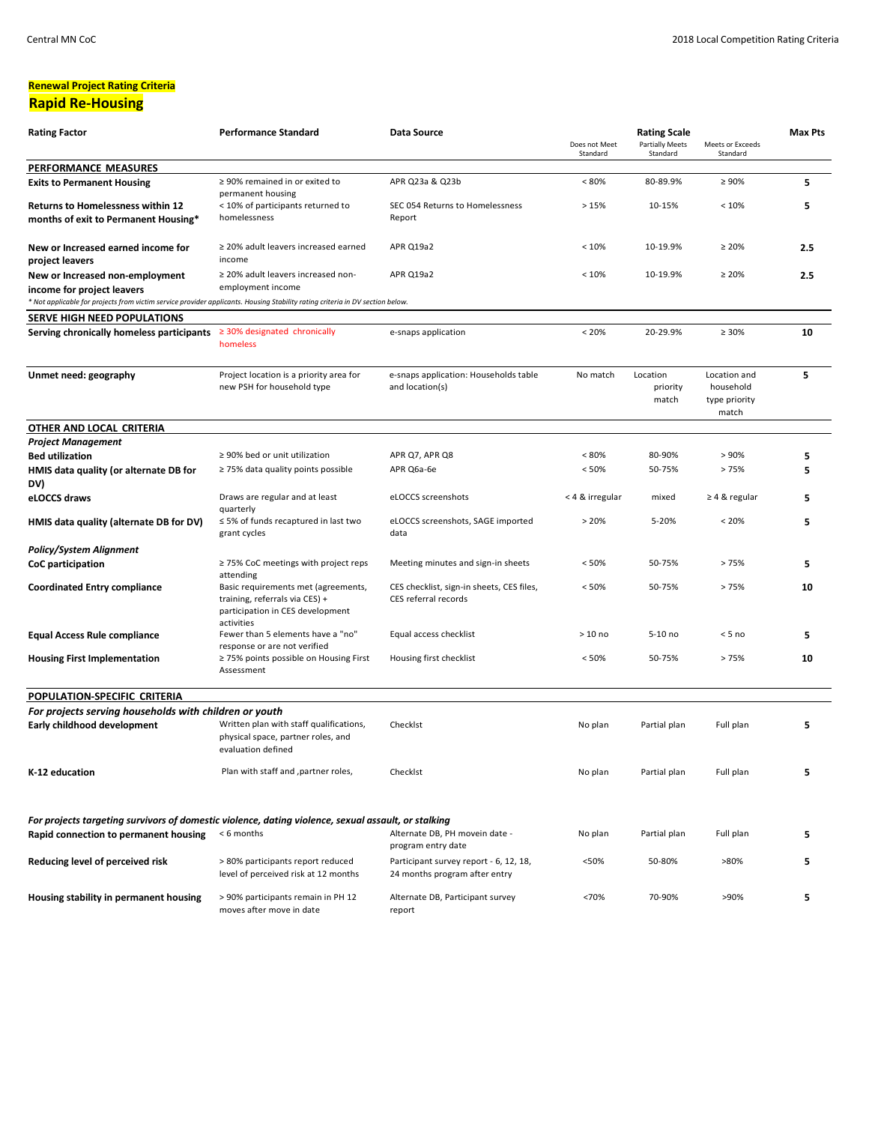#### **Renewal Project Rating Criteria Rapid Re-Housing**

| <b>Rating Factor</b>                                                                                                                         | <b>Performance Standard</b>                                                                                             | Data Source                                                             | Does not Meet<br>Standard | <b>Rating Scale</b><br><b>Partially Meets</b><br>Standard | Meets or Exceeds<br>Standard               | <b>Max Pts</b> |
|----------------------------------------------------------------------------------------------------------------------------------------------|-------------------------------------------------------------------------------------------------------------------------|-------------------------------------------------------------------------|---------------------------|-----------------------------------------------------------|--------------------------------------------|----------------|
| PERFORMANCE MEASURES                                                                                                                         |                                                                                                                         |                                                                         |                           |                                                           |                                            |                |
| <b>Exits to Permanent Housing</b>                                                                                                            | $\geq$ 90% remained in or exited to                                                                                     | APR Q23a & Q23b                                                         | $< 80\%$                  | 80-89.9%                                                  | $\geq 90\%$                                | 5              |
| <b>Returns to Homelessness within 12</b>                                                                                                     | permanent housing<br>< 10% of participants returned to                                                                  | SEC 054 Returns to Homelessness                                         | >15%                      | 10-15%                                                    | < 10%                                      | 5              |
| months of exit to Permanent Housing*                                                                                                         | homelessness                                                                                                            | Report                                                                  |                           |                                                           |                                            |                |
|                                                                                                                                              |                                                                                                                         |                                                                         |                           |                                                           |                                            |                |
| New or Increased earned income for                                                                                                           | $\geq$ 20% adult leavers increased earned                                                                               | APR Q19a2                                                               | < 10%                     | 10-19.9%                                                  | $\geq 20\%$                                | 2.5            |
| project leavers                                                                                                                              | income                                                                                                                  |                                                                         |                           |                                                           |                                            |                |
| New or Increased non-employment                                                                                                              | ≥ 20% adult leavers increased non-                                                                                      | APR Q19a2                                                               | < 10%                     | 10-19.9%                                                  | $\geq 20\%$                                | 2.5            |
| income for project leavers                                                                                                                   | employment income                                                                                                       |                                                                         |                           |                                                           |                                            |                |
| * Not applicable for projects from victim service provider applicants. Housing Stability rating criteria in DV section below.                |                                                                                                                         |                                                                         |                           |                                                           |                                            |                |
| SERVE HIGH NEED POPULATIONS                                                                                                                  |                                                                                                                         |                                                                         |                           |                                                           |                                            |                |
| Serving chronically homeless participants $\geq 30\%$ designated chronically                                                                 | homeless                                                                                                                | e-snaps application                                                     | < 20%                     | 20-29.9%                                                  | $\geq 30\%$                                | 10             |
| Unmet need: geography                                                                                                                        | Project location is a priority area for<br>new PSH for household type                                                   | e-snaps application: Households table<br>and location(s)                | No match                  | Location<br>priority<br>match                             | Location and<br>household<br>type priority | 5              |
|                                                                                                                                              |                                                                                                                         |                                                                         |                           |                                                           | match                                      |                |
| OTHER AND LOCAL CRITERIA                                                                                                                     |                                                                                                                         |                                                                         |                           |                                                           |                                            |                |
| <b>Project Management</b>                                                                                                                    |                                                                                                                         |                                                                         |                           |                                                           |                                            |                |
| <b>Bed utilization</b>                                                                                                                       | ≥ 90% bed or unit utilization                                                                                           | APR Q7, APR Q8                                                          | < 80%                     | 80-90%                                                    | > 90%                                      | 5              |
| HMIS data quality (or alternate DB for<br>DV)                                                                                                | $\geq$ 75% data quality points possible                                                                                 | APR Q6a-6e                                                              | < 50%                     | 50-75%                                                    | >75%                                       | 5              |
| eLOCCS draws                                                                                                                                 | Draws are regular and at least<br>quarterly                                                                             | eLOCCS screenshots                                                      | < 4 & irregular           | mixed                                                     | $\geq 4$ & regular                         | 5              |
| HMIS data quality (alternate DB for DV)                                                                                                      | $\leq$ 5% of funds recaptured in last two<br>grant cycles                                                               | eLOCCS screenshots, SAGE imported<br>data                               | > 20%                     | 5-20%                                                     | $< 20\%$                                   | 5              |
| <b>Policy/System Alignment</b>                                                                                                               |                                                                                                                         |                                                                         |                           |                                                           |                                            |                |
| CoC participation                                                                                                                            | ≥ 75% CoC meetings with project reps<br>attending                                                                       | Meeting minutes and sign-in sheets                                      | < 50%                     | 50-75%                                                    | >75%                                       | 5              |
| <b>Coordinated Entry compliance</b>                                                                                                          | Basic requirements met (agreements,<br>training, referrals via CES) +<br>participation in CES development<br>activities | CES checklist, sign-in sheets, CES files,<br>CES referral records       | < 50%                     | 50-75%                                                    | >75%                                       | 10             |
| <b>Equal Access Rule compliance</b>                                                                                                          | Fewer than 5 elements have a "no"<br>response or are not verified                                                       | Equal access checklist                                                  | $>10$ no                  | 5-10 no                                                   | $< 5$ no                                   | 5              |
| <b>Housing First Implementation</b>                                                                                                          | ≥ 75% points possible on Housing First<br>Assessment                                                                    | Housing first checklist                                                 | < 50%                     | 50-75%                                                    | >75%                                       | 10             |
| POPULATION-SPECIFIC CRITERIA                                                                                                                 |                                                                                                                         |                                                                         |                           |                                                           |                                            |                |
| For projects serving households with children or youth                                                                                       |                                                                                                                         |                                                                         |                           |                                                           |                                            |                |
| Early childhood development                                                                                                                  | Written plan with staff qualifications,<br>physical space, partner roles, and<br>evaluation defined                     | Checklst                                                                | No plan                   | Partial plan                                              | Full plan                                  | 5              |
| K-12 education                                                                                                                               | Plan with staff and , partner roles,                                                                                    | Checklst                                                                | No plan                   | Partial plan                                              | Full plan                                  | 5              |
| For projects targeting survivors of domestic violence, dating violence, sexual assault, or stalking<br>Rapid connection to permanent housing | < 6 months                                                                                                              | Alternate DB, PH movein date -<br>program entry date                    | No plan                   | Partial plan                                              | Full plan                                  | 5              |
| Reducing level of perceived risk                                                                                                             | > 80% participants report reduced<br>level of perceived risk at 12 months                                               | Participant survey report - 6, 12, 18,<br>24 months program after entry | <50%                      | 50-80%                                                    | >80%                                       | 5              |
| Housing stability in permanent housing                                                                                                       | > 90% participants remain in PH 12<br>moves after move in date                                                          | Alternate DB, Participant survey<br>report                              | <70%                      | 70-90%                                                    | >90%                                       | 5              |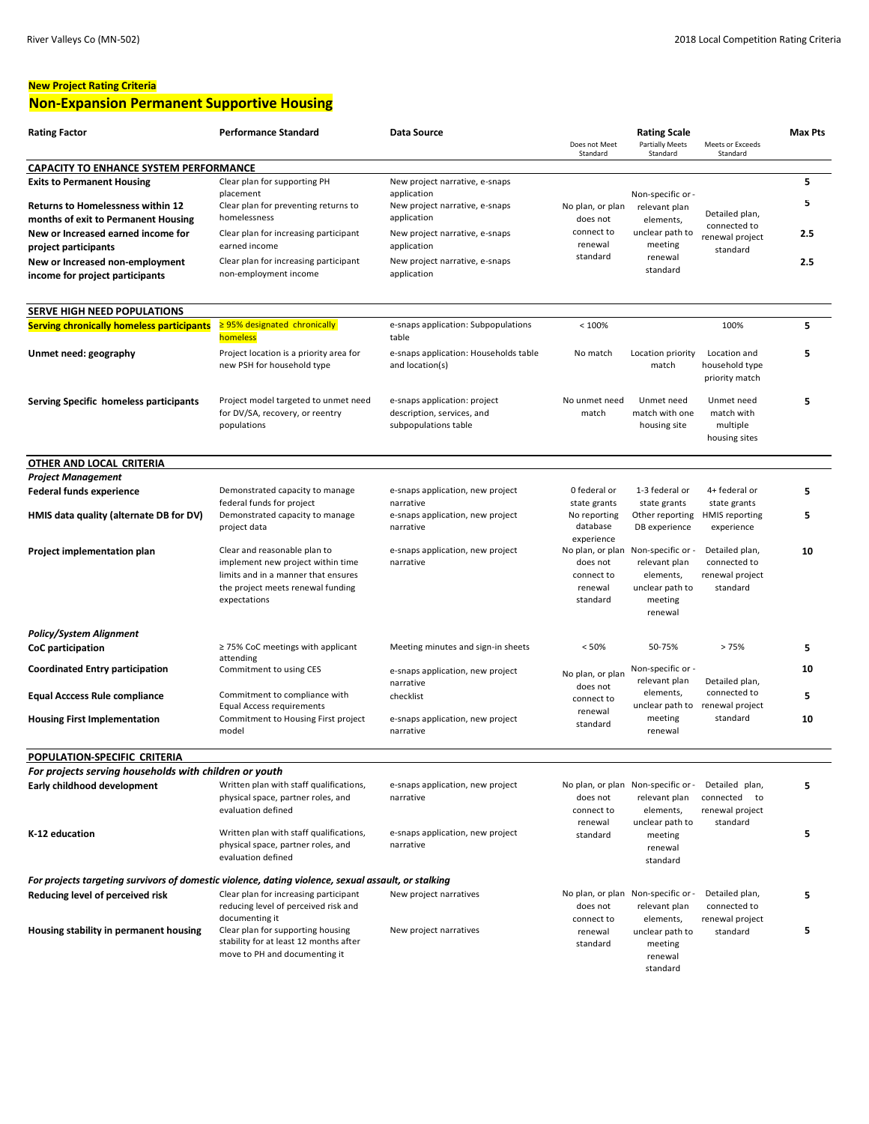## **New Project Rating Criteria Non-Expansion Permanent Supportive Housing**

| <b>Rating Factor</b>                                                                                | <b>Performance Standard</b>                                                                                                                                   | Data Source                                                                        | Does not Meet<br>Standard                              | <b>Rating Scale</b><br><b>Partially Meets</b><br>Standard                                                 | Meets or Exceeds<br>Standard                                  | <b>Max Pts</b> |
|-----------------------------------------------------------------------------------------------------|---------------------------------------------------------------------------------------------------------------------------------------------------------------|------------------------------------------------------------------------------------|--------------------------------------------------------|-----------------------------------------------------------------------------------------------------------|---------------------------------------------------------------|----------------|
| <b>CAPACITY TO ENHANCE SYSTEM PERFORMANCE</b>                                                       |                                                                                                                                                               |                                                                                    |                                                        |                                                                                                           |                                                               |                |
| <b>Exits to Permanent Housing</b>                                                                   | Clear plan for supporting PH<br>placement                                                                                                                     | New project narrative, e-snaps<br>application                                      |                                                        | Non-specific or -                                                                                         |                                                               | 5              |
| <b>Returns to Homelessness within 12</b><br>months of exit to Permanent Housing                     | Clear plan for preventing returns to<br>homelessness                                                                                                          | New project narrative, e-snaps<br>application                                      | No plan, or plan<br>does not                           | relevant plan<br>elements,                                                                                | Detailed plan,<br>connected to                                | 5              |
| New or Increased earned income for<br>project participants                                          | Clear plan for increasing participant<br>earned income                                                                                                        | New project narrative, e-snaps<br>application                                      | connect to<br>renewal                                  | unclear path to<br>meeting                                                                                | renewal project<br>standard                                   | 2.5            |
| New or Increased non-employment<br>income for project participants                                  | Clear plan for increasing participant<br>non-employment income                                                                                                | New project narrative, e-snaps<br>application                                      | standard                                               | renewal<br>standard                                                                                       |                                                               | 2.5            |
|                                                                                                     |                                                                                                                                                               |                                                                                    |                                                        |                                                                                                           |                                                               |                |
| SERVE HIGH NEED POPULATIONS<br><b>Serving chronically homeless participants</b>                     | $\geq$ 95% designated chronically                                                                                                                             | e-snaps application: Subpopulations                                                | < 100%                                                 |                                                                                                           | 100%                                                          | 5              |
|                                                                                                     | homeless                                                                                                                                                      | table                                                                              |                                                        |                                                                                                           |                                                               |                |
| Unmet need: geography                                                                               | Project location is a priority area for<br>new PSH for household type                                                                                         | e-snaps application: Households table<br>and location(s)                           | No match                                               | Location priority<br>match                                                                                | Location and<br>household type<br>priority match              | 5              |
| Serving Specific homeless participants                                                              | Project model targeted to unmet need<br>for DV/SA, recovery, or reentry<br>populations                                                                        | e-snaps application: project<br>description, services, and<br>subpopulations table | No unmet need<br>match                                 | Unmet need<br>match with one<br>housing site                                                              | Unmet need<br>match with<br>multiple<br>housing sites         | 5              |
| <b>OTHER AND LOCAL CRITERIA</b>                                                                     |                                                                                                                                                               |                                                                                    |                                                        |                                                                                                           |                                                               |                |
| <b>Project Management</b>                                                                           |                                                                                                                                                               |                                                                                    |                                                        |                                                                                                           |                                                               |                |
| <b>Federal funds experience</b>                                                                     | Demonstrated capacity to manage                                                                                                                               | e-snaps application, new project                                                   | 0 federal or                                           | 1-3 federal or                                                                                            | 4+ federal or                                                 | 5              |
| HMIS data quality (alternate DB for DV)                                                             | federal funds for project<br>Demonstrated capacity to manage<br>project data                                                                                  | narrative<br>e-snaps application, new project<br>narrative                         | state grants<br>No reporting<br>database<br>experience | state grants<br>Other reporting<br>DB experience                                                          | state grants<br><b>HMIS</b> reporting<br>experience           | 5              |
| Project implementation plan                                                                         | Clear and reasonable plan to<br>implement new project within time<br>limits and in a manner that ensures<br>the project meets renewal funding<br>expectations | e-snaps application, new project<br>narrative                                      | does not<br>connect to<br>renewal<br>standard          | No plan, or plan Non-specific or -<br>relevant plan<br>elements,<br>unclear path to<br>meeting<br>renewal | Detailed plan,<br>connected to<br>renewal project<br>standard | 10             |
| <b>Policy/System Alignment</b>                                                                      |                                                                                                                                                               |                                                                                    |                                                        |                                                                                                           |                                                               |                |
| CoC participation                                                                                   | $\geq$ 75% CoC meetings with applicant<br>attending                                                                                                           | Meeting minutes and sign-in sheets                                                 | < 50%                                                  | 50-75%                                                                                                    | >75%                                                          | 5              |
| <b>Coordinated Entry participation</b>                                                              | Commitment to using CES                                                                                                                                       | e-snaps application, new project<br>narrative                                      | No plan, or plan<br>does not                           | Non-specific or -<br>relevant plan                                                                        | Detailed plan,                                                | 10             |
| <b>Equal Acccess Rule compliance</b>                                                                | Commitment to compliance with                                                                                                                                 | checklist                                                                          | connect to                                             | elements,                                                                                                 | connected to<br>unclear path to renewal project               | 5              |
| <b>Housing First Implementation</b>                                                                 | Equal Access requirements<br>Commitment to Housing First project<br>model                                                                                     | e-snaps application, new project<br>narrative                                      | renewal<br>standard                                    | meeting<br>renewal                                                                                        | standard                                                      | 10             |
| POPULATION-SPECIFIC CRITERIA                                                                        |                                                                                                                                                               |                                                                                    |                                                        |                                                                                                           |                                                               |                |
| For projects serving households with children or youth                                              |                                                                                                                                                               |                                                                                    |                                                        |                                                                                                           |                                                               |                |
| Early childhood development                                                                         | Written plan with staff qualifications,<br>physical space, partner roles, and<br>evaluation defined                                                           | e-snaps application, new project<br>narrative                                      | does not<br>connect to                                 | No plan, or plan Non-specific or -<br>relevant plan<br>elements,                                          | Detailed plan,<br>connected<br>to<br>renewal project          | 5              |
| K-12 education                                                                                      | Written plan with staff qualifications,<br>physical space, partner roles, and<br>evaluation defined                                                           | e-snaps application, new project<br>narrative                                      | renewal<br>standard                                    | unclear path to<br>meeting<br>renewal<br>standard                                                         | standard                                                      | 5              |
| For projects targeting survivors of domestic violence, dating violence, sexual assault, or stalking |                                                                                                                                                               |                                                                                    |                                                        |                                                                                                           |                                                               |                |
| Reducing level of perceived risk                                                                    | Clear plan for increasing participant<br>reducing level of perceived risk and<br>documenting it                                                               | New project narratives                                                             | does not<br>connect to                                 | No plan, or plan Non-specific or -<br>relevant plan<br>elements,                                          | Detailed plan,<br>connected to<br>renewal project             | 5              |
| Housing stability in permanent housing                                                              | Clear plan for supporting housing<br>stability for at least 12 months after<br>move to PH and documenting it                                                  | New project narratives                                                             | renewal<br>standard                                    | unclear path to<br>meeting<br>renewal<br>standard                                                         | standard                                                      | 5              |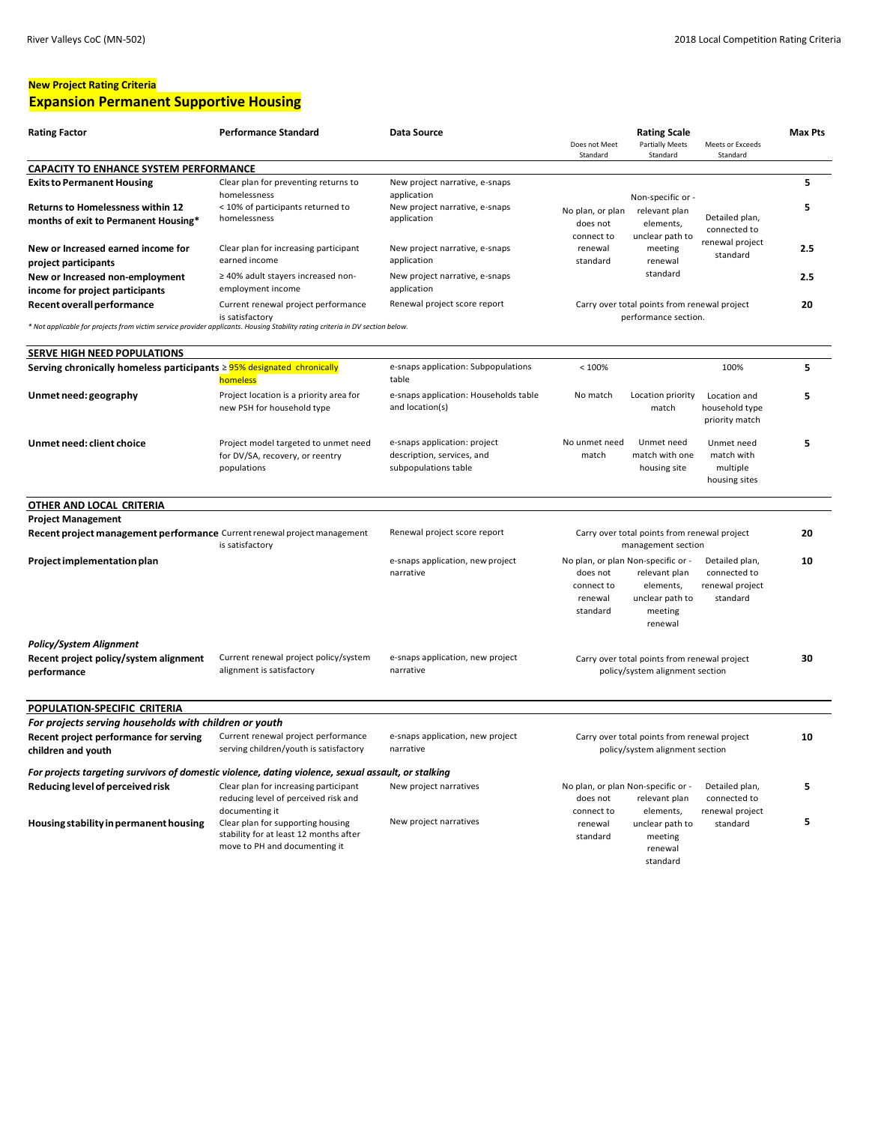## **New Project Rating Criteria**

## **Expansion Permanent Supportive Housing**

| <b>Rating Factor</b>                                                                                                          | <b>Performance Standard</b>                                                                                                    | Data Source                                                                        | Does not Meet<br>Standard                                          | <b>Rating Scale</b><br><b>Partially Meets</b><br>Standard                                                 | Meets or Exceeds<br>Standard                                  | Max Pts |
|-------------------------------------------------------------------------------------------------------------------------------|--------------------------------------------------------------------------------------------------------------------------------|------------------------------------------------------------------------------------|--------------------------------------------------------------------|-----------------------------------------------------------------------------------------------------------|---------------------------------------------------------------|---------|
| <b>CAPACITY TO ENHANCE SYSTEM PERFORMANCE</b>                                                                                 |                                                                                                                                |                                                                                    |                                                                    |                                                                                                           |                                                               |         |
| <b>Exits to Permanent Housing</b><br><b>Returns to Homelessness within 12</b>                                                 | Clear plan for preventing returns to<br>homelessness<br>< 10% of participants returned to                                      | New project narrative, e-snaps<br>application<br>New project narrative, e-snaps    |                                                                    | Non-specific or -                                                                                         |                                                               | 5<br>5  |
| months of exit to Permanent Housing*                                                                                          | homelessness                                                                                                                   | application                                                                        | No plan, or plan<br>does not<br>connect to                         | relevant plan<br>elements,<br>unclear path to                                                             | Detailed plan,<br>connected to                                |         |
| New or Increased earned income for<br>project participants                                                                    | Clear plan for increasing participant<br>earned income                                                                         | New project narrative, e-snaps<br>application                                      | renewal<br>standard                                                | meeting<br>renewal                                                                                        | renewal project<br>standard                                   | 2.5     |
| New or Increased non-employment<br>income for project participants                                                            | ≥ 40% adult stayers increased non-<br>employment income                                                                        | New project narrative, e-snaps<br>application                                      |                                                                    | standard                                                                                                  |                                                               | 2.5     |
| Recent overall performance                                                                                                    | Current renewal project performance<br>is satisfactory                                                                         | Renewal project score report                                                       |                                                                    | Carry over total points from renewal project<br>performance section.                                      |                                                               | 20      |
| * Not applicable for projects from victim service provider applicants. Housing Stability rating criteria in DV section below. |                                                                                                                                |                                                                                    |                                                                    |                                                                                                           |                                                               |         |
| SERVE HIGH NEED POPULATIONS                                                                                                   |                                                                                                                                |                                                                                    |                                                                    |                                                                                                           |                                                               |         |
| Serving chronically homeless participants ≥ 95% designated chronically                                                        | homeless                                                                                                                       | e-snaps application: Subpopulations<br>table                                       | < 100%                                                             |                                                                                                           | 100%                                                          | 5       |
| Unmet need: geography                                                                                                         | Project location is a priority area for<br>new PSH for household type                                                          | e-snaps application: Households table<br>and location(s)                           | No match                                                           | Location priority<br>match                                                                                | Location and<br>household type<br>priority match              | 5       |
| Unmet need: client choice                                                                                                     | Project model targeted to unmet need<br>for DV/SA, recovery, or reentry<br>populations                                         | e-snaps application: project<br>description, services, and<br>subpopulations table | No unmet need<br>match                                             | Unmet need<br>match with one<br>housing site                                                              | Unmet need<br>match with<br>multiple<br>housing sites         | 5       |
| OTHER AND LOCAL CRITERIA                                                                                                      |                                                                                                                                |                                                                                    |                                                                    |                                                                                                           |                                                               |         |
| <b>Project Management</b>                                                                                                     |                                                                                                                                |                                                                                    |                                                                    |                                                                                                           |                                                               |         |
| Recent project management performance Current renewal project management                                                      | is satisfactory                                                                                                                | Renewal project score report                                                       | Carry over total points from renewal project<br>management section |                                                                                                           |                                                               | 20      |
| Project implementation plan                                                                                                   |                                                                                                                                | e-snaps application, new project<br>narrative                                      | does not<br>connect to<br>renewal<br>standard                      | No plan, or plan Non-specific or -<br>relevant plan<br>elements,<br>unclear path to<br>meeting<br>renewal | Detailed plan,<br>connected to<br>renewal project<br>standard | 10      |
| <b>Policy/System Alignment</b><br>Recent project policy/system alignment<br>performance                                       | Current renewal project policy/system<br>alignment is satisfactory                                                             | e-snaps application, new project<br>narrative                                      |                                                                    | Carry over total points from renewal project<br>policy/system alignment section                           |                                                               | 30      |
| POPULATION-SPECIFIC CRITERIA                                                                                                  |                                                                                                                                |                                                                                    |                                                                    |                                                                                                           |                                                               |         |
| For projects serving households with children or youth                                                                        |                                                                                                                                |                                                                                    |                                                                    |                                                                                                           |                                                               |         |
| Recent project performance for serving<br>children and youth                                                                  | Current renewal project performance<br>serving children/youth is satisfactory                                                  | e-snaps application, new project<br>narrative                                      |                                                                    | Carry over total points from renewal project<br>policy/system alignment section                           |                                                               | 10      |
| For projects targeting survivors of domestic violence, dating violence, sexual assault, or stalking                           |                                                                                                                                |                                                                                    |                                                                    |                                                                                                           |                                                               |         |
| Reducing level of perceived risk                                                                                              | Clear plan for increasing participant<br>reducing level of perceived risk and                                                  | New project narratives                                                             | does not                                                           | No plan, or plan Non-specific or -<br>relevant plan                                                       | Detailed plan,<br>connected to                                | 5       |
| Housing stability in permanent housing                                                                                        | documenting it<br>Clear plan for supporting housing<br>stability for at least 12 months after<br>move to PH and documenting it | New project narratives                                                             | connect to<br>renewal<br>standard                                  | elements,<br>unclear path to<br>meeting<br>renewal<br>standard                                            | renewal project<br>standard                                   | 5       |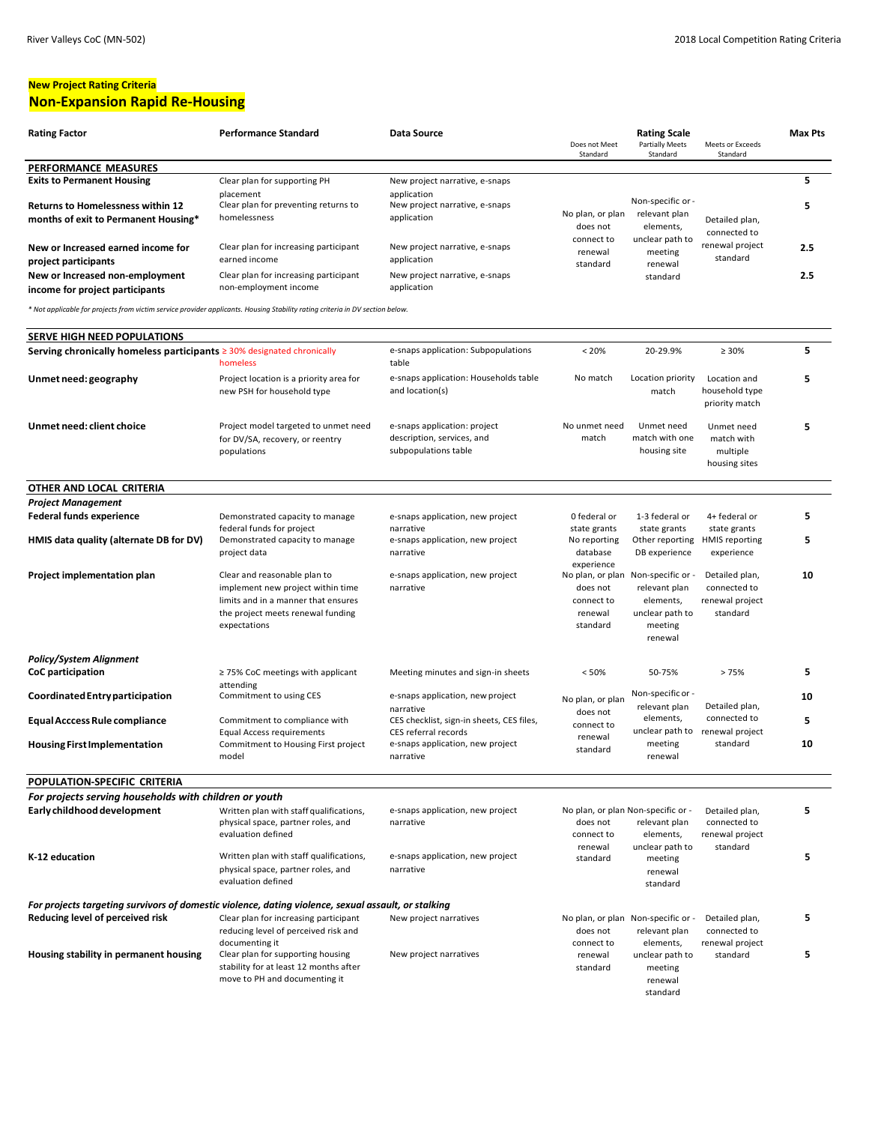## **New Project Rating Criteria Non-Expansion Rapid Re-Housing**

standard

| <b>Rating Factor</b>                                                                                                          | <b>Performance Standard</b>                                                                                                                                   | Data Source                                                                        | Does not Meet<br>Standard                                         | <b>Rating Scale</b><br><b>Partially Meets</b><br>Standard                                | Meets or Exceeds<br>Standard                                  | <b>Max Pts</b> |
|-------------------------------------------------------------------------------------------------------------------------------|---------------------------------------------------------------------------------------------------------------------------------------------------------------|------------------------------------------------------------------------------------|-------------------------------------------------------------------|------------------------------------------------------------------------------------------|---------------------------------------------------------------|----------------|
| PERFORMANCE MEASURES                                                                                                          |                                                                                                                                                               |                                                                                    |                                                                   |                                                                                          |                                                               |                |
| <b>Exits to Permanent Housing</b>                                                                                             | Clear plan for supporting PH                                                                                                                                  | New project narrative, e-snaps                                                     |                                                                   |                                                                                          |                                                               | 5              |
|                                                                                                                               | placement<br>Clear plan for preventing returns to                                                                                                             | application                                                                        |                                                                   | Non-specific or -                                                                        |                                                               |                |
| <b>Returns to Homelessness within 12</b>                                                                                      | homelessness                                                                                                                                                  | New project narrative, e-snaps                                                     | No plan, or plan                                                  | relevant plan                                                                            |                                                               | 5              |
| months of exit to Permanent Housing*                                                                                          |                                                                                                                                                               | application                                                                        | does not                                                          | elements,                                                                                | Detailed plan,                                                |                |
|                                                                                                                               |                                                                                                                                                               |                                                                                    | connect to                                                        | unclear path to                                                                          | connected to                                                  |                |
| New or Increased earned income for                                                                                            | Clear plan for increasing participant                                                                                                                         | New project narrative, e-snaps                                                     | renewal                                                           | meeting                                                                                  | renewal project                                               | 2.5            |
| project participants                                                                                                          | earned income                                                                                                                                                 | application                                                                        | standard                                                          | renewal                                                                                  | standard                                                      |                |
| New or Increased non-employment                                                                                               | Clear plan for increasing participant                                                                                                                         | New project narrative, e-snaps                                                     |                                                                   | standard                                                                                 |                                                               | 2.5            |
| income for project participants                                                                                               | non-employment income                                                                                                                                         | application                                                                        |                                                                   |                                                                                          |                                                               |                |
| * Not applicable for projects from victim service provider applicants. Housing Stability rating criteria in DV section below. |                                                                                                                                                               |                                                                                    |                                                                   |                                                                                          |                                                               |                |
| SERVE HIGH NEED POPULATIONS                                                                                                   |                                                                                                                                                               |                                                                                    |                                                                   |                                                                                          |                                                               |                |
| Serving chronically homeless participants $\geq$ 30% designated chronically                                                   |                                                                                                                                                               | e-snaps application: Subpopulations                                                | < 20%                                                             | 20-29.9%                                                                                 | $\geq 30\%$                                                   | 5              |
|                                                                                                                               | homeless                                                                                                                                                      | table                                                                              |                                                                   |                                                                                          |                                                               |                |
| Unmet need: geography                                                                                                         | Project location is a priority area for<br>new PSH for household type                                                                                         | e-snaps application: Households table<br>and location(s)                           | No match                                                          | Location priority<br>match                                                               | Location and<br>household type<br>priority match              | 5              |
| Unmet need: client choice                                                                                                     | Project model targeted to unmet need<br>for DV/SA, recovery, or reentry<br>populations                                                                        | e-snaps application: project<br>description, services, and<br>subpopulations table | No unmet need<br>match                                            | Unmet need<br>match with one<br>housing site                                             | Unmet need<br>match with<br>multiple<br>housing sites         | 5              |
| OTHER AND LOCAL CRITERIA                                                                                                      |                                                                                                                                                               |                                                                                    |                                                                   |                                                                                          |                                                               |                |
| <b>Project Management</b>                                                                                                     |                                                                                                                                                               |                                                                                    |                                                                   |                                                                                          |                                                               |                |
| <b>Federal funds experience</b>                                                                                               | Demonstrated capacity to manage                                                                                                                               | e-snaps application, new project                                                   | 0 federal or                                                      | 1-3 federal or                                                                           | 4+ federal or                                                 | 5              |
|                                                                                                                               | federal funds for project                                                                                                                                     | narrative                                                                          | state grants                                                      | state grants                                                                             | state grants                                                  |                |
| HMIS data quality (alternate DB for DV)                                                                                       | Demonstrated capacity to manage<br>project data                                                                                                               | e-snaps application, new project<br>narrative                                      | No reporting<br>database<br>experience                            | Other reporting<br>DB experience                                                         | <b>HMIS</b> reporting<br>experience                           | 5              |
| Project implementation plan                                                                                                   | Clear and reasonable plan to<br>implement new project within time<br>limits and in a manner that ensures<br>the project meets renewal funding<br>expectations | e-snaps application, new project<br>narrative                                      | No plan, or plan<br>does not<br>connect to<br>renewal<br>standard | Non-specific or -<br>relevant plan<br>elements,<br>unclear path to<br>meeting<br>renewal | Detailed plan,<br>connected to<br>renewal project<br>standard | 10             |
| <b>Policy/System Alignment</b>                                                                                                |                                                                                                                                                               |                                                                                    |                                                                   |                                                                                          |                                                               |                |
| CoC participation                                                                                                             | $\geq$ 75% CoC meetings with applicant                                                                                                                        | Meeting minutes and sign-in sheets                                                 | < 50%                                                             | 50-75%                                                                                   | >75%                                                          | 5              |
|                                                                                                                               | attending                                                                                                                                                     |                                                                                    |                                                                   |                                                                                          |                                                               |                |
| Coordinated Entry participation                                                                                               | Commitment to using CES                                                                                                                                       | e-snaps application, new project                                                   | No plan, or plan                                                  | Non-specific or -                                                                        |                                                               | 10             |
|                                                                                                                               |                                                                                                                                                               | narrative                                                                          | does not                                                          | relevant plan                                                                            | Detailed plan,                                                |                |
| Equal Acccess Rule compliance                                                                                                 | Commitment to compliance with                                                                                                                                 | CES checklist, sign-in sheets, CES files,                                          | connect to                                                        | elements,                                                                                | connected to                                                  | 5              |
|                                                                                                                               | <b>Equal Access requirements</b>                                                                                                                              | CES referral records                                                               | renewal                                                           | unclear path to                                                                          | renewal project                                               |                |
| <b>Housing First Implementation</b>                                                                                           | Commitment to Housing First project<br>model                                                                                                                  | e-snaps application, new project<br>narrative                                      | standard                                                          | meeting<br>renewal                                                                       | standard                                                      | 10             |
| POPULATION-SPECIFIC CRITERIA                                                                                                  |                                                                                                                                                               |                                                                                    |                                                                   |                                                                                          |                                                               |                |
| For projects serving households with children or youth                                                                        |                                                                                                                                                               |                                                                                    |                                                                   |                                                                                          |                                                               |                |
| Early childhood development                                                                                                   | Written plan with staff qualifications,<br>physical space, partner roles, and<br>evaluation defined                                                           | e-snaps application, new project<br>narrative                                      | does not<br>connect to                                            | No plan, or plan Non-specific or -<br>relevant plan<br>elements,                         | Detailed plan,<br>connected to<br>renewal project             | 5              |
| K-12 education                                                                                                                | Written plan with staff qualifications,                                                                                                                       | e-snaps application, new project                                                   | renewal                                                           | unclear path to                                                                          | standard                                                      | 5              |
|                                                                                                                               | physical space, partner roles, and<br>evaluation defined                                                                                                      | narrative                                                                          | standard                                                          | meeting<br>renewal<br>standard                                                           |                                                               |                |
| For projects targeting survivors of domestic violence, dating violence, sexual assault, or stalking                           |                                                                                                                                                               |                                                                                    |                                                                   |                                                                                          |                                                               |                |
| Reducing level of perceived risk                                                                                              | Clear plan for increasing participant                                                                                                                         | New project narratives                                                             |                                                                   | No plan, or plan Non-specific or -                                                       | Detailed plan,                                                | 5              |
|                                                                                                                               | reducing level of perceived risk and                                                                                                                          |                                                                                    | does not                                                          | relevant plan                                                                            | connected to                                                  |                |
|                                                                                                                               | documenting it                                                                                                                                                |                                                                                    | connect to                                                        | elements,                                                                                | renewal project                                               |                |
| Housing stability in permanent housing                                                                                        | Clear plan for supporting housing                                                                                                                             | New project narratives                                                             | renewal                                                           | unclear path to                                                                          | standard                                                      | 5              |
|                                                                                                                               | stability for at least 12 months after                                                                                                                        |                                                                                    | standard                                                          | meeting                                                                                  |                                                               |                |
|                                                                                                                               | move to PH and documenting it                                                                                                                                 |                                                                                    |                                                                   | renewal                                                                                  |                                                               |                |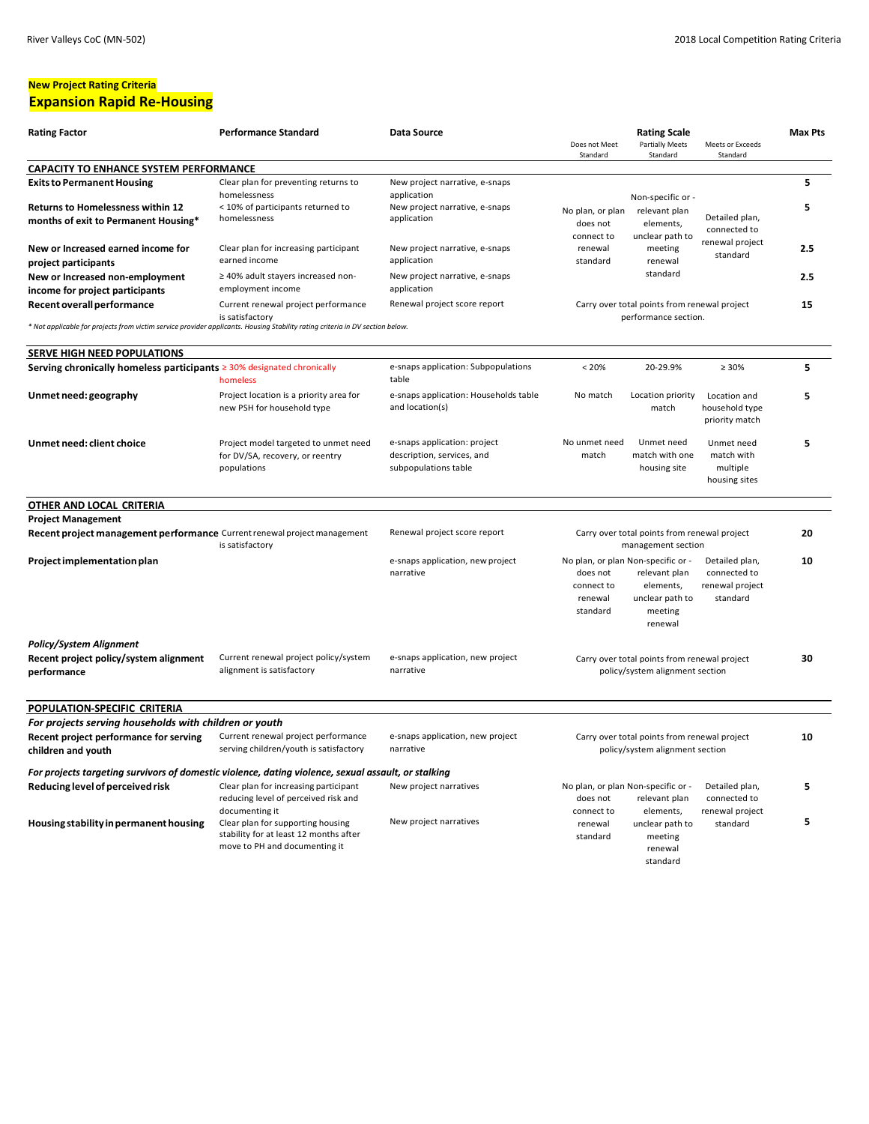# **New Project Rating Criteria**

## **Expansion Rapid Re-Housing**

| <b>Rating Factor</b>                                                                                                                                        | <b>Performance Standard</b>                                                                                                    | Data Source                                                                                    | Does not Meet<br>Standard                                          | <b>Rating Scale</b><br><b>Partially Meets</b><br>Standard                                                 | Meets or Exceeds<br>Standard                                  | <b>Max Pts</b> |
|-------------------------------------------------------------------------------------------------------------------------------------------------------------|--------------------------------------------------------------------------------------------------------------------------------|------------------------------------------------------------------------------------------------|--------------------------------------------------------------------|-----------------------------------------------------------------------------------------------------------|---------------------------------------------------------------|----------------|
| <b>CAPACITY TO ENHANCE SYSTEM PERFORMANCE</b>                                                                                                               |                                                                                                                                |                                                                                                |                                                                    |                                                                                                           |                                                               |                |
| <b>Exits to Permanent Housing</b><br><b>Returns to Homelessness within 12</b><br>months of exit to Permanent Housing*                                       | Clear plan for preventing returns to<br>homelessness<br>< 10% of participants returned to<br>homelessness                      | New project narrative, e-snaps<br>application<br>New project narrative, e-snaps<br>application | No plan, or plan<br>does not                                       | Non-specific or -<br>relevant plan<br>elements,<br>unclear path to                                        | Detailed plan,<br>connected to                                | 5<br>5         |
| New or Increased earned income for<br>project participants                                                                                                  | Clear plan for increasing participant<br>earned income                                                                         | New project narrative, e-snaps<br>application                                                  | connect to<br>renewal<br>standard                                  | meeting<br>renewal                                                                                        | renewal project<br>standard                                   | 2.5            |
| New or Increased non-employment<br>income for project participants                                                                                          | ≥ 40% adult stayers increased non-<br>employment income                                                                        | New project narrative, e-snaps<br>application                                                  |                                                                    | standard                                                                                                  |                                                               | 2.5            |
| Recent overall performance<br>* Not applicable for projects from victim service provider applicants. Housing Stability rating criteria in DV section below. | Current renewal project performance<br>is satisfactory                                                                         | Renewal project score report                                                                   |                                                                    | Carry over total points from renewal project<br>performance section.                                      |                                                               | 15             |
|                                                                                                                                                             |                                                                                                                                |                                                                                                |                                                                    |                                                                                                           |                                                               |                |
| SERVE HIGH NEED POPULATIONS                                                                                                                                 |                                                                                                                                |                                                                                                |                                                                    |                                                                                                           |                                                               |                |
| Serving chronically homeless participants $\geq$ 30% designated chronically                                                                                 | homeless                                                                                                                       | e-snaps application: Subpopulations<br>table                                                   | < 20%                                                              | 20-29.9%                                                                                                  | $\geq 30\%$                                                   | 5              |
| Unmet need: geography                                                                                                                                       | Project location is a priority area for<br>new PSH for household type                                                          | e-snaps application: Households table<br>and location(s)                                       | No match                                                           | Location priority<br>match                                                                                | Location and<br>household type<br>priority match              | 5              |
| Unmet need: client choice                                                                                                                                   | Project model targeted to unmet need<br>for DV/SA, recovery, or reentry<br>populations                                         | e-snaps application: project<br>description, services, and<br>subpopulations table             | No unmet need<br>match                                             | Unmet need<br>match with one<br>housing site                                                              | Unmet need<br>match with<br>multiple<br>housing sites         | 5              |
| OTHER AND LOCAL CRITERIA                                                                                                                                    |                                                                                                                                |                                                                                                |                                                                    |                                                                                                           |                                                               |                |
| <b>Project Management</b>                                                                                                                                   |                                                                                                                                |                                                                                                |                                                                    |                                                                                                           |                                                               |                |
| Recent project management performance Current renewal project management                                                                                    | is satisfactory                                                                                                                | Renewal project score report                                                                   | Carry over total points from renewal project<br>management section |                                                                                                           |                                                               | 20             |
| Project implementation plan                                                                                                                                 |                                                                                                                                | e-snaps application, new project<br>narrative                                                  | does not<br>connect to<br>renewal<br>standard                      | No plan, or plan Non-specific or -<br>relevant plan<br>elements,<br>unclear path to<br>meeting<br>renewal | Detailed plan,<br>connected to<br>renewal project<br>standard | 10             |
| <b>Policy/System Alignment</b>                                                                                                                              |                                                                                                                                |                                                                                                |                                                                    |                                                                                                           |                                                               |                |
| Recent project policy/system alignment<br>performance                                                                                                       | Current renewal project policy/system<br>alignment is satisfactory                                                             | e-snaps application, new project<br>narrative                                                  |                                                                    | Carry over total points from renewal project<br>policy/system alignment section                           |                                                               | 30             |
| POPULATION-SPECIFIC CRITERIA                                                                                                                                |                                                                                                                                |                                                                                                |                                                                    |                                                                                                           |                                                               |                |
| For projects serving households with children or youth                                                                                                      |                                                                                                                                |                                                                                                |                                                                    |                                                                                                           |                                                               |                |
| Recent project performance for serving<br>children and youth                                                                                                | Current renewal project performance<br>serving children/youth is satisfactory                                                  | e-snaps application, new project<br>narrative                                                  |                                                                    | Carry over total points from renewal project<br>policy/system alignment section                           |                                                               | 10             |
| For projects targeting survivors of domestic violence, dating violence, sexual assault, or stalking                                                         |                                                                                                                                |                                                                                                |                                                                    |                                                                                                           |                                                               |                |
| Reducing level of perceived risk                                                                                                                            | Clear plan for increasing participant<br>reducing level of perceived risk and                                                  | New project narratives                                                                         | does not                                                           | No plan, or plan Non-specific or -<br>relevant plan                                                       | Detailed plan,<br>connected to                                | 5              |
| Housing stability in permanent housing                                                                                                                      | documenting it<br>Clear plan for supporting housing<br>stability for at least 12 months after<br>move to PH and documenting it | New project narratives                                                                         | connect to<br>renewal<br>standard                                  | elements,<br>unclear path to<br>meeting<br>renewal<br>standard                                            | renewal project<br>standard                                   | 5              |